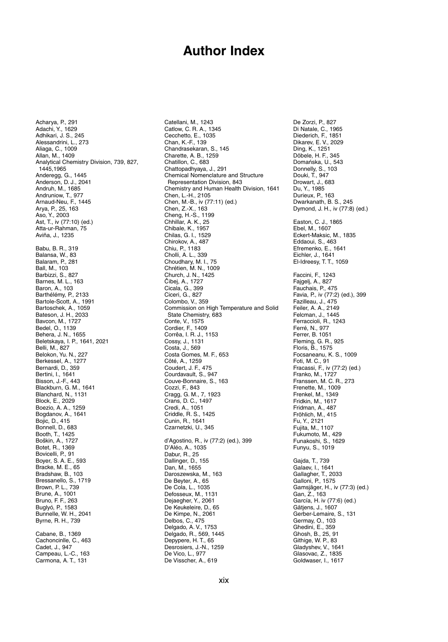## **Author Index**

Acharya, P., 291 Adachi, Y., 1629 Adhikari, J. S., 245 Alessandrini, L., 273 Aliaga, C., 1009 Allan, M., 1409 Analytical Chemistry Division, 739, 827, 1445,1965 Anderegg, G., 1445 Anderson, D. J., 2041 Andruh, M., 1685 Andruniow, T., 977 Arnaud-Neu, F., 1445 Arya, P., 25, 163 Aso, Y., 2003 Ast, T., iv (77:10) (ed.) Atta-ur-Rahman, 75 Aviña, J., 1235 Babu, B. R., 319 Balansa, W., 83 Balaram, P., 281 Ball, M., 103 Barbizzi, S., 827 Barnes, M. L., 163 Baron, A., 103 Barthélémy, P., 2133 Bartole-Scott, A., 1991 Bartoschek, A., 1059 Bateson, J. H., 2033 Bavcon, M., 1727 Bedel, O., 1139 Behera, J. N., 1655 Beletskaya, I. P., 1641, 2021 Belli, M., 827 Belokon, Yu. N., 227 Berkessel, A., 1277 Bernardi, D., 359 Bertini, I., 1641 Bisson, J.-F., 443 Blackburn, G. M., 1641 Blanchard, N., 1131 Block, E., 2029 Boezio, A. A., 1259 Bogdanov, A., 1641 Bojic, D., 415 Bonnell, D., 683 Booth, T., 1425 Boškin, A., 1727 Botet, R., 1369 Bovicelli, P., 91 Boyer, S. A. E., 593 Bracke, M. E., 65 Bradshaw, B., 103 Bressanello, S., 1719 Brown, P. L., 739 Brune, A., 1001 Bruno, F. F., 263 Buglyó, P., 1583 Bunnelle, W. H., 2041 Byrne, R. H., 739 Cabane, B., 1369 Cachoncinlle, C., 463 Cadet, J., 947 Campeau, L.-C., 163 Carmona, A. T., 131

Catellani, M., 1243 Catlow, C. R. A., 1345 Cecchetto, E., 1035 Chan, K.-F., 139 Chandrasekaran, S., 145 Charette, A. B., 1259 Chatillon, C., 683 Chattopadhyaya, J., 291 Chemical Nomenclature and Structure Representation Division, 843 Chemistry and Human Health Division, 1641 Chen, L.-H., 2105 Chen, M.-B., iv (77:11) (ed.) Chen, Z.-X., 163 Cheng, H.-S., 1199 Chhillar, A. K., 25 Chibale, K., 1957 Chilas, G. I., 1529 Chirokov, A., 487 Chiu, P., 1183 Cholli, A. L., 339 Choudhary, M. I., 75 Chrétien, M. N., 1009 Church, J. N., 1425 Čibej, A., 1727 Cicala, G., 399 Ciceri, G., 827 Colombo, V., 359 Commission on High Temperature and Solid State Chemistry, 683 Conte, V., 1575 Cordier, F., 1409 Corrêa, I. R. J., 1153 Cossy, J., 1131 Costa, J., 569 Costa Gomes, M. F., 653 Côté, A., 1259 Coudert, J. F., 475 Courdavault, S., 947 Couve-Bonnaire, S., 163 Cozzi, F., 843 Cragg, G. M., 7, 1923 Crans, D. C., 1497 Credi, A., 1051 Criddle, R. S., 1425 Cunin, R., 1641 Czarnetzki, U., 345 d'Agostino, R., iv (77:2) (ed.), 399 D'Aléo, A., 1035 Dabur, R., 25 Dallinger, D., 155 Dan, M., 1655 Daroszewska, M., 163 De Beyter, A., 65 De Cola, L., 1035 Defosseux, M., 1131 Dejaegher, Y., 2061 De Keukeleire, D., 65 De Kimpe, N., 2061 Delbos, C., 475 Delgado, A. V., 1753 Delgado, R., 569, 1445 Depypere, H. T., 65 Desrosiers, J.-N., 1259 De Vico, L., 977 De Visscher, A., 619

De Zorzi, P., 827 Di Natale, C., 1965 Diederich, F., 1851 Dikarev, E. V., 2029 Ding, K., 1251 Döbele, H. F., 345 Domańska, U., 543 Donnelly, S., 103 Douki, T., 947 Drowart, J., 683 Du, Y., 1985 Durieux, P., 163 Dwarkanath, B. S., 245 Dymond, J. H., iv (77:8) (ed.) Easton, C. J., 1865 Ebel, M., 1607 Eckert-Maksic, M., 1835 Eddaoui, S., 463 Efremenko, E., 1641 Eichler, J., 1641 El-Idreesy, T. T., 1059 Faccini, F., 1243 Fajgelj, A., 827 Fauchais, P., 475 Favia, P., iv (77:2) (ed.), 399 Fazilleau, J., 475 Feiler, A. A., 2149 Felcman, J., 1445 Ferraccioli, R., 1243 Ferré, N., 977 Ferrer, B. 1051 Fleming, G. R., 925 Floris, B., 1575 Focsaneanu, K. S., 1009 Foti, M. C., 91 Fracassi, F., iv (77:2) (ed.) Franko, M., 1727 Franssen, M. C. R., 273 Frenette, M., 1009 Frenkel, M., 1349 Fridkin, M., 1617 Fridman, A., 487 Fröhlich, M., 415 Fu, Y., 2121 Fujita, M., 1107 Fukumoto, M., 429 Funakoshi, S., 1629 Funyu, S., 1019 Gajda, T., 739 Galaev, I., 1641 Gallagher, T., 2033 Galloni, P., 1575 Gamsjäger, H., iv (77:3) (ed.) Gan, Z., 163 García, H. iv (77:6) (ed.) Gätjens, J., 1607 Gerber-Lemaire, S., 131 Germay, O., 103 Ghedini, E., 359 Ghosh, B., 25, 91 Githige, W. P., 83 Gladyshev, V., 1641 Glasovac, Z., 1835 Goldwaser, I., 1617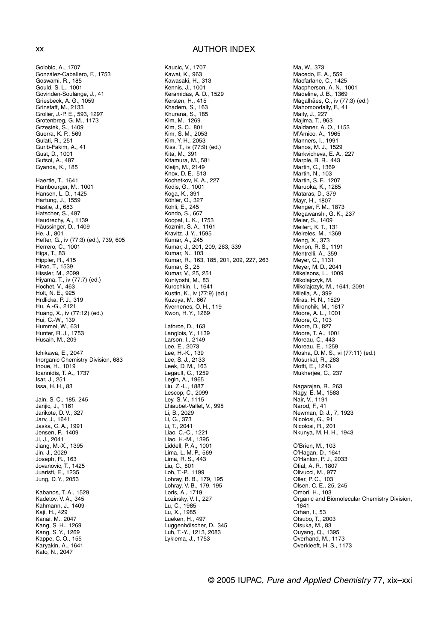Golobic, A., 1707 González-Caballero, F., 1753 Goswami, R., 185 Gould, S. L., 1001 Govinden-Soulange, J., 41 Griesbeck, A. G., 1059 Grinstaff, M., 2133 Grolier, J.-P. E., 593, 1297 Grotenbreg, G. M., 1173 Grzesiek, S., 1409 Guerra, K. P., 569 Gulati, R., 251 Gurib-Fakim, A., 41 Gust, D., 1001 Gutsol, A., 487 Gyanda, K., 185 Haertle, T., 1641 Hambourger, M., 1001 Hansen, L. D., 1425 Hartung, J., 1559 Hastie, J., 683 Hatscher, S., 497 Haudrechy, A., 1139 Häussinger, D., 1409 He, J., 801 Hefter, G., iv (77:3) (ed.), 739, 605 Herrero, C., 1001 Higa, T., 83 Hippler, R., 415 Hirao, T., 1539 Hissler, M., 2099 Hiyama, T., iv (77:7) (ed.) Hochet, V., 463 Holt, N. E., 925 Hrdlicka, P. J., 319 Hu, A.-G., 2121 Huang, X., iv (77:12) (ed.) Hui, C.-W., 139 Hummel, W., 631 Hunter, R. J., 1753 Husain, M., 209 Ichikawa, E., 2047 Inorganic Chemistry Division, 683 Inoue, H., 1019 Ioannidis, T. A., 1737 Isar, J., 251 Issa, H. H., 83 Jain, S. C., 185, 245 Janjic, J., 1161 Jarikote, D. V., 327 Jarv, J., 1641 Jaska, C. A., 1991 Jensen, P., 1409 Ji, J., 2041 Jiang, M.-X., 1395 Jin, J., 2029 Joseph, R., 163 Jovanovic, T., 1425 Juaristi, E., 1235 Jung, D. Y., 2053 Kabanos, T. A., 1529 Kadetov, V. A., 345 Kahmann, J., 1409 Kaji, H., 429 Kanai, M., 2047 Kang, S. H., 1269 Kang, S. Y., 1269 Kappe, C. O., 155 Karyakin, A., 1641 Kato, N., 2047

## xx AUTHOR INDEX

Kaucic, V., 1707

Kawai, K., 963 Kawasaki, H., 313 Kennis, J., 1001 Keramidas, A. D., 1529 Kersten, H., 415 Khadem, S., 163 Khurana, S., 185 Kim, M., 1269 Kim, S. C., 801 Kim, S. M., 2053 Kim, Y. H., 2053 Kiss, T., iv (77:9) (ed.) Kita, M., 391 Kitamura, M., 581 Kleijn, M., 2149 Knox, D. E., 513 Kochetkov, K. A., 227 Kodis, G., 1001 Koga, K., 391 Köhler, O., 327 Kohli, E., 245 Kondo, S., 667 Koopal, L. K., 1753 Kozmin, S. A., 1161 Kravitz, J. Y., 1595 Kumar, A., 245 Kumar, J., 201, 209, 263, 339 Kumar, N., 103 Kumar, R., 163, 185, 201, 209, 227, 263 Kumar, S., 25 Kumar, V., 25, 251 Kuniyoshi, M., 83 Kurochkin, I., 1641 Kustin, K., iv (77:9) (ed.) Kuzuya, M., 667 Kvernenes, O. H., 119 Kwon, H. Y., 1269 Laforce, D., 163 Langlois, Y., 1139 Larson, I., 2149 Lee, E., 2073 Lee, H.-K., 139 Lee, S. J., 2133 Leek, D. M., 163 Legault, C., 1259 Legin, A., 1965 Liu, Z.-L., 1887 Lescop, C., 2099 Ley, S. V., 1115 Lhiaubet-Vallet, V., 995 Li, B., 2029 Li, G., 373 Li, T., 2041 Liao, C.-C., 1221 Liao, H.-M., 1395 Liddell, P. A., 1001 Lima, L. M. P., 569 Lima, R. S., 443 Liu, C., 801 Loh, T.-P., 1199 Lohray, B. B., 179, 195 Lohray, V. B., 179, 195 Loris, A., 1719 Lozinsky, V. I., 227 Lu, C., 1985 Lu, X., 1985 Lueken, H., 497 Luggenhölscher, D., 345 Luh, T.-Y., 1213, 2083 Lyklema, J., 1753

Ma, W., 373 Macedo, E. A., 559 Macfarlane, C., 1425 Macpherson, A. N., 1001 Madeline, J. B., 1369 Magalhães, C., iv (77:3) (ed.) Mahomoodally, F., 41 Maity, J., 227 Majima, T., 963 Maldaner, A. O., 1153 M'Amico, A., 1965 Manners, I., 1991 Manos, M. J., 1529 Markvicheva, E. A., 227 Marple, B. R., 443 Martin, C., 1369 Martin, N., 103 Martin, S. F., 1207 Maruoka, K., 1285 Mataras, D., 379 Mayr, H., 1807 Menger, F. M., 1873 Megawanshi, G. K., 237 Meier, S., 1409 Meilert, K. T., 131 Meireles, M., 1369 Meng, X., 373 Menon, R. S., 1191 Mentrelli, A., 359 Meyer, C., 1131 Meyer, M. D., 2041 Mikelsons, L., 1009 Mikolajczyk, M. Mikolajczyk, M., 1641, 2091 Milella, A., 399 Miras, H. N., 1529 Mironchik, M., 1617 Moore, A. L., 1001 Moore, C., 103 Moore, D., 827 Moore, T. A., 1001 Moreau, C., 443 Moreau, E., 1259 Mosha, D. M. S., vi (77:11) (ed.) Mosurkal, R., 263 Motti, E., 1243 Mukherjee, C., 237 Nagarajan, R., 263 Nagy, E. M., 1583 Nair, V., 1191 Narod, F., 41 Newman, D. J., 7, 1923 Nicolosi, G., 91 Nicolosi, R., 201 Nkunya, M. H. H., 1943 O'Brien, M., 103 O'Hagan, D., 1641 O'Hanlon, P. J., 2033 Ofial, A. R., 1807 Olivucci, M., 977 Oller, P. C., 103 Olsen, C. E., 25, 245 Omori, H., 103 Organic and Biomolecular Chemistry Division, 1641 Orhan, I., 53 Otsubo, T., 2003 Otsuka, M., 83 Ouyang, Q., 1395 Overhand, M., 1173 Overkleeft, H. S., 1173

© 2005 IUPAC, Pure and Applied Chemistry 77, xix–xxi